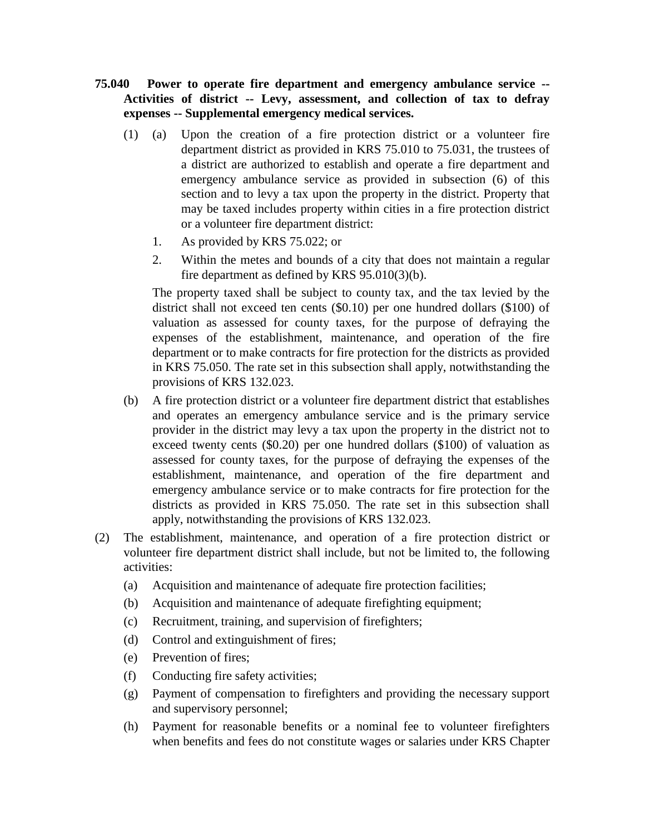- **75.040 Power to operate fire department and emergency ambulance service -- Activities of district -- Levy, assessment, and collection of tax to defray expenses -- Supplemental emergency medical services.** 
	- (1) (a) Upon the creation of a fire protection district or a volunteer fire department district as provided in KRS 75.010 to 75.031, the trustees of a district are authorized to establish and operate a fire department and emergency ambulance service as provided in subsection (6) of this section and to levy a tax upon the property in the district. Property that may be taxed includes property within cities in a fire protection district or a volunteer fire department district:
		- 1. As provided by KRS 75.022; or
		- 2. Within the metes and bounds of a city that does not maintain a regular fire department as defined by KRS 95.010(3)(b).

The property taxed shall be subject to county tax, and the tax levied by the district shall not exceed ten cents (\$0.10) per one hundred dollars (\$100) of valuation as assessed for county taxes, for the purpose of defraying the expenses of the establishment, maintenance, and operation of the fire department or to make contracts for fire protection for the districts as provided in KRS 75.050. The rate set in this subsection shall apply, notwithstanding the provisions of KRS 132.023.

- (b) A fire protection district or a volunteer fire department district that establishes and operates an emergency ambulance service and is the primary service provider in the district may levy a tax upon the property in the district not to exceed twenty cents (\$0.20) per one hundred dollars (\$100) of valuation as assessed for county taxes, for the purpose of defraying the expenses of the establishment, maintenance, and operation of the fire department and emergency ambulance service or to make contracts for fire protection for the districts as provided in KRS 75.050. The rate set in this subsection shall apply, notwithstanding the provisions of KRS 132.023.
- (2) The establishment, maintenance, and operation of a fire protection district or volunteer fire department district shall include, but not be limited to, the following activities:
	- (a) Acquisition and maintenance of adequate fire protection facilities;
	- (b) Acquisition and maintenance of adequate firefighting equipment;
	- (c) Recruitment, training, and supervision of firefighters;
	- (d) Control and extinguishment of fires;
	- (e) Prevention of fires;
	- (f) Conducting fire safety activities;
	- (g) Payment of compensation to firefighters and providing the necessary support and supervisory personnel;
	- (h) Payment for reasonable benefits or a nominal fee to volunteer firefighters when benefits and fees do not constitute wages or salaries under KRS Chapter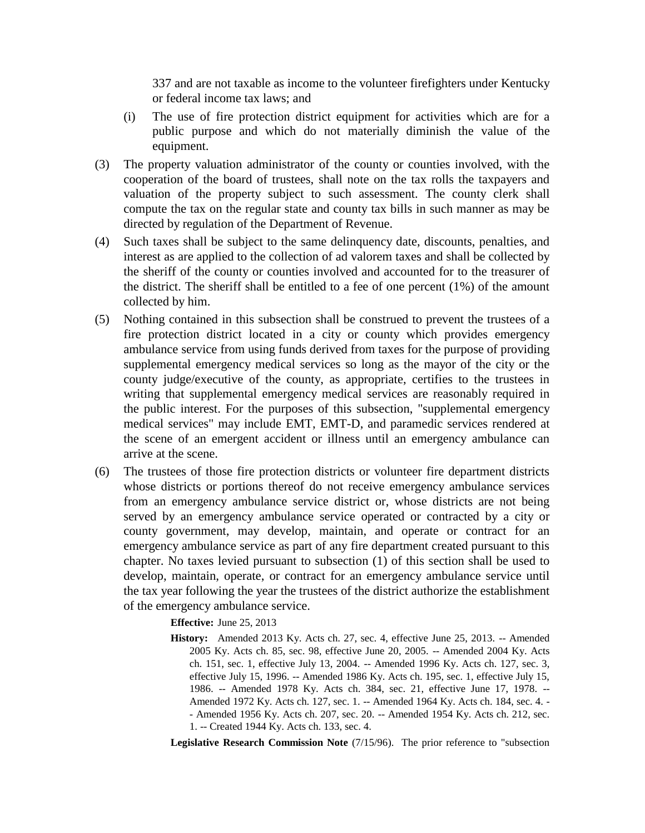337 and are not taxable as income to the volunteer firefighters under Kentucky or federal income tax laws; and

- (i) The use of fire protection district equipment for activities which are for a public purpose and which do not materially diminish the value of the equipment.
- (3) The property valuation administrator of the county or counties involved, with the cooperation of the board of trustees, shall note on the tax rolls the taxpayers and valuation of the property subject to such assessment. The county clerk shall compute the tax on the regular state and county tax bills in such manner as may be directed by regulation of the Department of Revenue.
- (4) Such taxes shall be subject to the same delinquency date, discounts, penalties, and interest as are applied to the collection of ad valorem taxes and shall be collected by the sheriff of the county or counties involved and accounted for to the treasurer of the district. The sheriff shall be entitled to a fee of one percent (1%) of the amount collected by him.
- (5) Nothing contained in this subsection shall be construed to prevent the trustees of a fire protection district located in a city or county which provides emergency ambulance service from using funds derived from taxes for the purpose of providing supplemental emergency medical services so long as the mayor of the city or the county judge/executive of the county, as appropriate, certifies to the trustees in writing that supplemental emergency medical services are reasonably required in the public interest. For the purposes of this subsection, "supplemental emergency medical services" may include EMT, EMT-D, and paramedic services rendered at the scene of an emergent accident or illness until an emergency ambulance can arrive at the scene.
- (6) The trustees of those fire protection districts or volunteer fire department districts whose districts or portions thereof do not receive emergency ambulance services from an emergency ambulance service district or, whose districts are not being served by an emergency ambulance service operated or contracted by a city or county government, may develop, maintain, and operate or contract for an emergency ambulance service as part of any fire department created pursuant to this chapter. No taxes levied pursuant to subsection (1) of this section shall be used to develop, maintain, operate, or contract for an emergency ambulance service until the tax year following the year the trustees of the district authorize the establishment of the emergency ambulance service.

**Effective:** June 25, 2013

**History:** Amended 2013 Ky. Acts ch. 27, sec. 4, effective June 25, 2013. -- Amended 2005 Ky. Acts ch. 85, sec. 98, effective June 20, 2005. -- Amended 2004 Ky. Acts ch. 151, sec. 1, effective July 13, 2004. -- Amended 1996 Ky. Acts ch. 127, sec. 3, effective July 15, 1996. -- Amended 1986 Ky. Acts ch. 195, sec. 1, effective July 15, 1986. -- Amended 1978 Ky. Acts ch. 384, sec. 21, effective June 17, 1978. -- Amended 1972 Ky. Acts ch. 127, sec. 1. -- Amended 1964 Ky. Acts ch. 184, sec. 4. - - Amended 1956 Ky. Acts ch. 207, sec. 20. -- Amended 1954 Ky. Acts ch. 212, sec. 1. -- Created 1944 Ky. Acts ch. 133, sec. 4.

**Legislative Research Commission Note** (7/15/96). The prior reference to "subsection